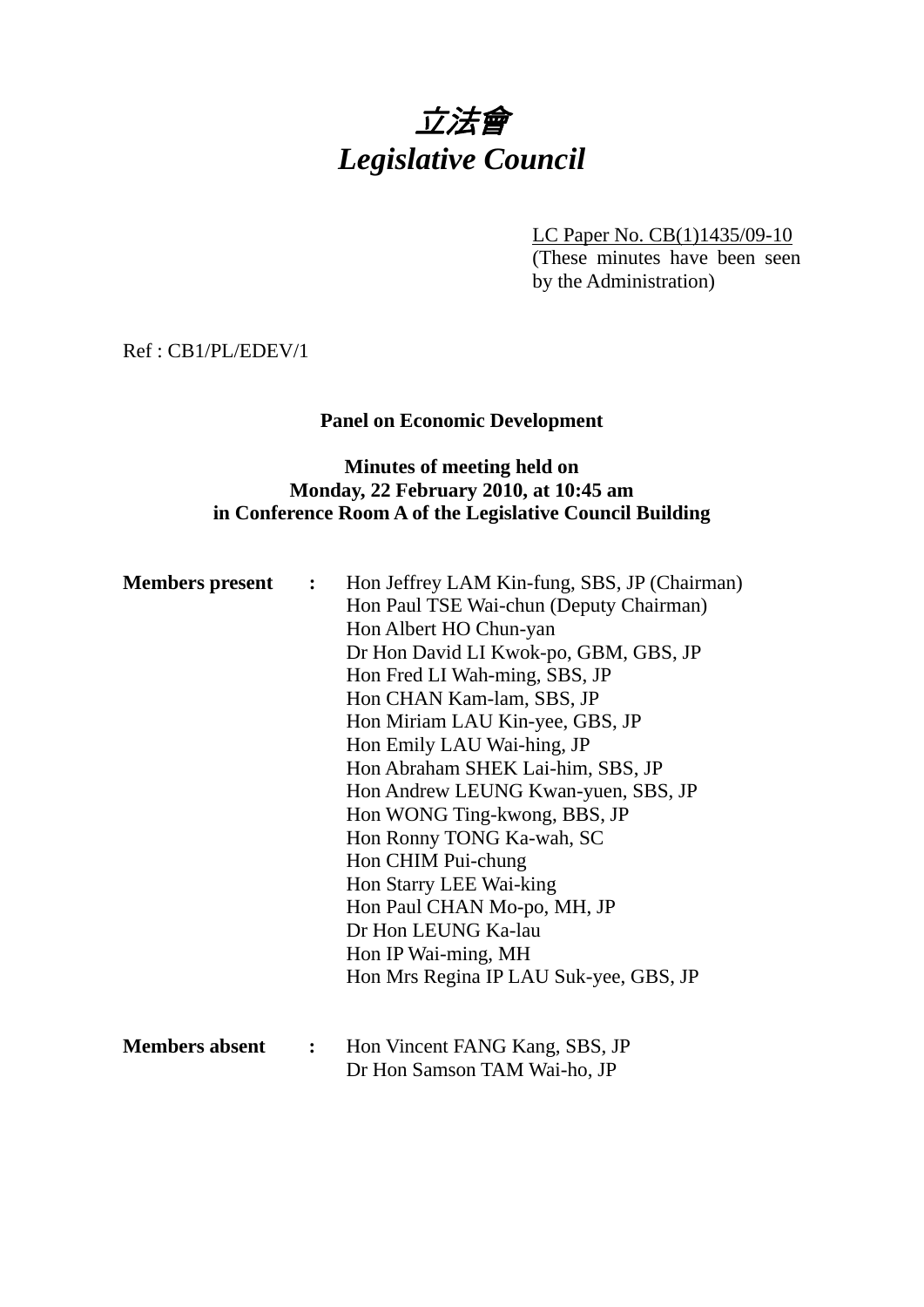# 立法會 *Legislative Council*

LC Paper No. CB(1)1435/09-10 (These minutes have been seen by the Administration)

Ref : CB1/PL/EDEV/1

# **Panel on Economic Development**

# **Minutes of meeting held on Monday, 22 February 2010, at 10:45 am in Conference Room A of the Legislative Council Building**

| <b>Members present :</b> |                | Hon Jeffrey LAM Kin-fung, SBS, JP (Chairman) |
|--------------------------|----------------|----------------------------------------------|
|                          |                | Hon Paul TSE Wai-chun (Deputy Chairman)      |
|                          |                | Hon Albert HO Chun-yan                       |
|                          |                | Dr Hon David LI Kwok-po, GBM, GBS, JP        |
|                          |                | Hon Fred LI Wah-ming, SBS, JP                |
|                          |                | Hon CHAN Kam-lam, SBS, JP                    |
|                          |                | Hon Miriam LAU Kin-yee, GBS, JP              |
|                          |                | Hon Emily LAU Wai-hing, JP                   |
|                          |                | Hon Abraham SHEK Lai-him, SBS, JP            |
|                          |                | Hon Andrew LEUNG Kwan-yuen, SBS, JP          |
|                          |                | Hon WONG Ting-kwong, BBS, JP                 |
|                          |                | Hon Ronny TONG Ka-wah, SC                    |
|                          |                | Hon CHIM Pui-chung                           |
|                          |                | Hon Starry LEE Wai-king                      |
|                          |                | Hon Paul CHAN Mo-po, MH, JP                  |
|                          |                | Dr Hon LEUNG Ka-lau                          |
|                          |                | Hon IP Wai-ming, MH                          |
|                          |                | Hon Mrs Regina IP LAU Suk-yee, GBS, JP       |
|                          |                |                                              |
| <b>Members absent</b>    | $\ddot{\cdot}$ | Hon Vincent FANG Kang, SBS, JP               |
|                          |                | Dr Hon Samson TAM Wai-ho, JP                 |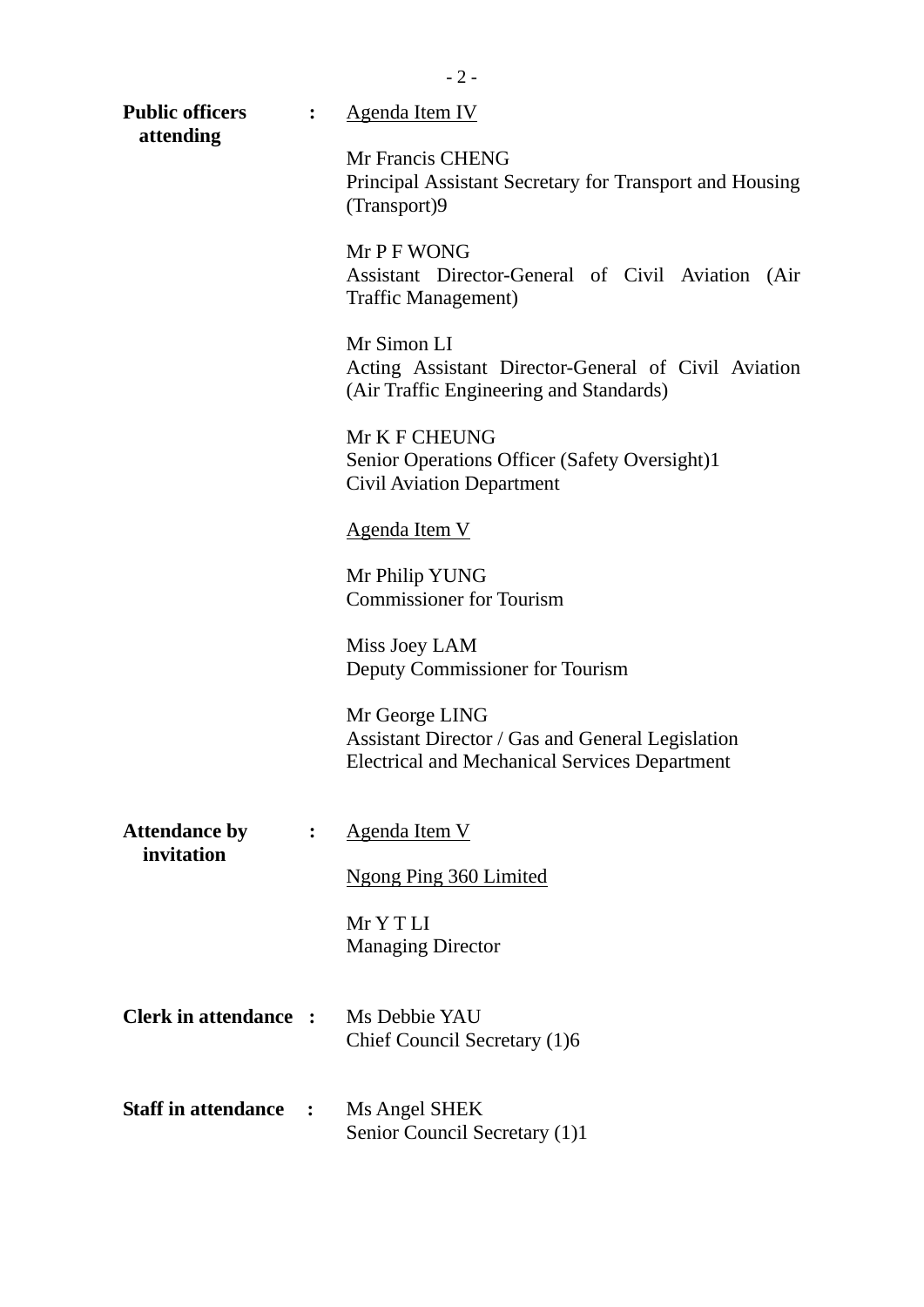| <b>Public officers</b>             | $\ddot{\cdot}$ | <b>Agenda Item IV</b>                                                                                                      |  |
|------------------------------------|----------------|----------------------------------------------------------------------------------------------------------------------------|--|
| attending                          |                | Mr Francis CHENG<br>Principal Assistant Secretary for Transport and Housing<br>(Transport)9                                |  |
|                                    |                | Mr P F WONG<br>Assistant Director-General of Civil Aviation<br>(Air)<br>Traffic Management)                                |  |
|                                    |                | Mr Simon LI<br>Acting Assistant Director-General of Civil Aviation<br>(Air Traffic Engineering and Standards)              |  |
|                                    |                | Mr K F CHEUNG<br>Senior Operations Officer (Safety Oversight)1<br><b>Civil Aviation Department</b>                         |  |
|                                    |                | Agenda Item V                                                                                                              |  |
|                                    |                | Mr Philip YUNG<br><b>Commissioner for Tourism</b>                                                                          |  |
|                                    |                | Miss Joey LAM<br>Deputy Commissioner for Tourism                                                                           |  |
|                                    |                | Mr George LING<br>Assistant Director / Gas and General Legislation<br><b>Electrical and Mechanical Services Department</b> |  |
| <b>Attendance by</b><br>invitation | $\ddot{\cdot}$ | Agenda Item V                                                                                                              |  |
|                                    |                | Ngong Ping 360 Limited                                                                                                     |  |
|                                    |                | MrYTLI<br><b>Managing Director</b>                                                                                         |  |
| <b>Clerk in attendance :</b>       |                | Ms Debbie YAU<br>Chief Council Secretary (1)6                                                                              |  |
| <b>Staff in attendance :</b>       |                | Ms Angel SHEK<br>Senior Council Secretary (1)1                                                                             |  |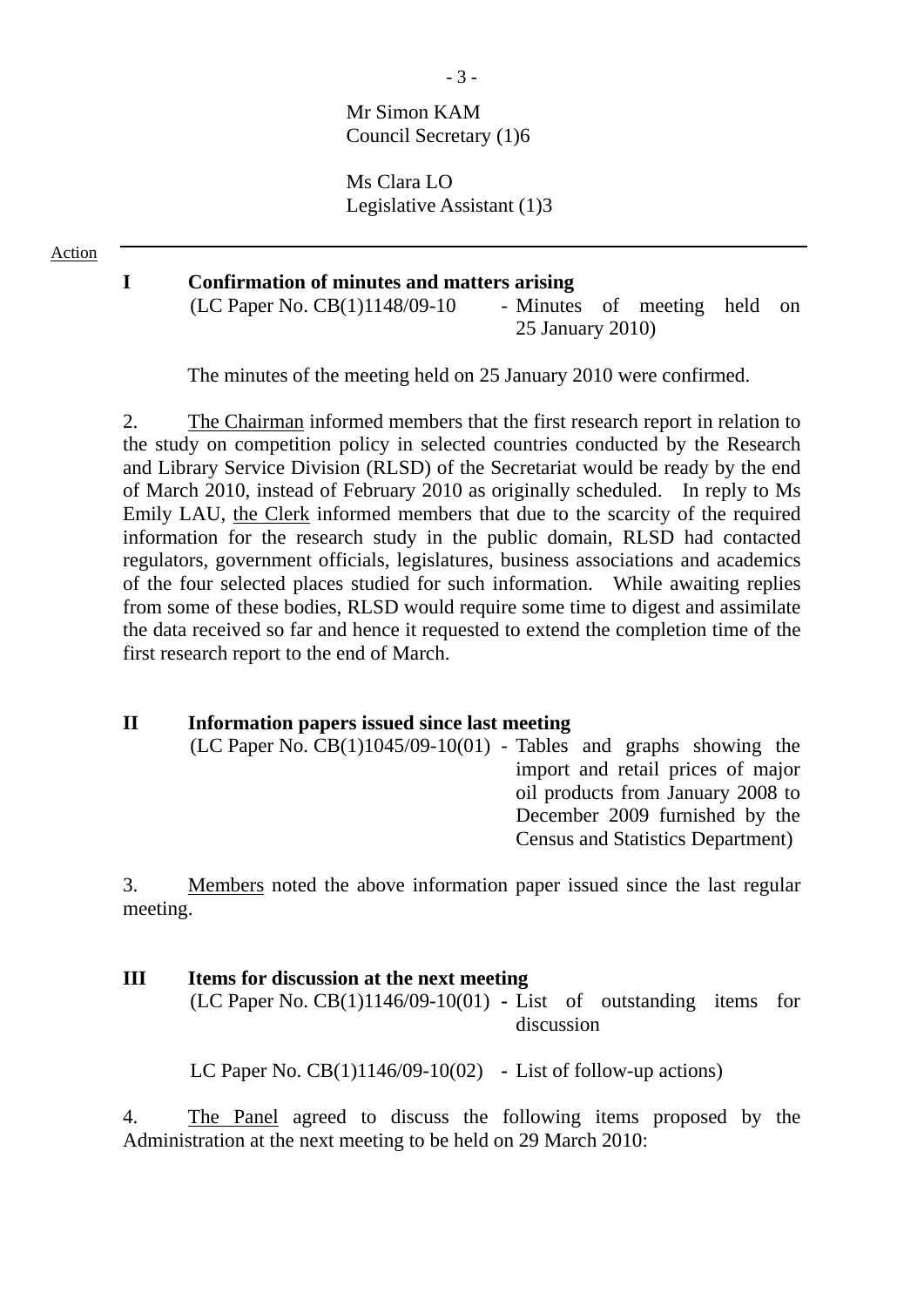# Mr Simon KAM Council Secretary (1)6

Ms Clara LO Legislative Assistant (1)3

Action

#### **I Confirmation of minutes and matters arising**

 $(LC$  Paper No.  $CB(1)1148/09-10$  - Minutes of meeting held on 25 January 2010)

The minutes of the meeting held on 25 January 2010 were confirmed.

2. The Chairman informed members that the first research report in relation to the study on competition policy in selected countries conducted by the Research and Library Service Division (RLSD) of the Secretariat would be ready by the end of March 2010, instead of February 2010 as originally scheduled. In reply to Ms Emily LAU, the Clerk informed members that due to the scarcity of the required information for the research study in the public domain, RLSD had contacted regulators, government officials, legislatures, business associations and academics of the four selected places studied for such information. While awaiting replies from some of these bodies, RLSD would require some time to digest and assimilate the data received so far and hence it requested to extend the completion time of the first research report to the end of March.

#### **II Information papers issued since last meeting**

 $(LC$  Paper No.  $CB(1)1045/09-10(01)$  - Tables and graphs showing the import and retail prices of major oil products from January 2008 to December 2009 furnished by the Census and Statistics Department)

3. Members noted the above information paper issued since the last regular meeting.

# **III Items for discussion at the next meeting**

(LC Paper No. CB(1)1146/09-10(01) **-** List of outstanding items for discussion

LC Paper No. CB(1)1146/09-10(02) **-** List of follow-up actions)

4. The Panel agreed to discuss the following items proposed by the Administration at the next meeting to be held on 29 March 2010: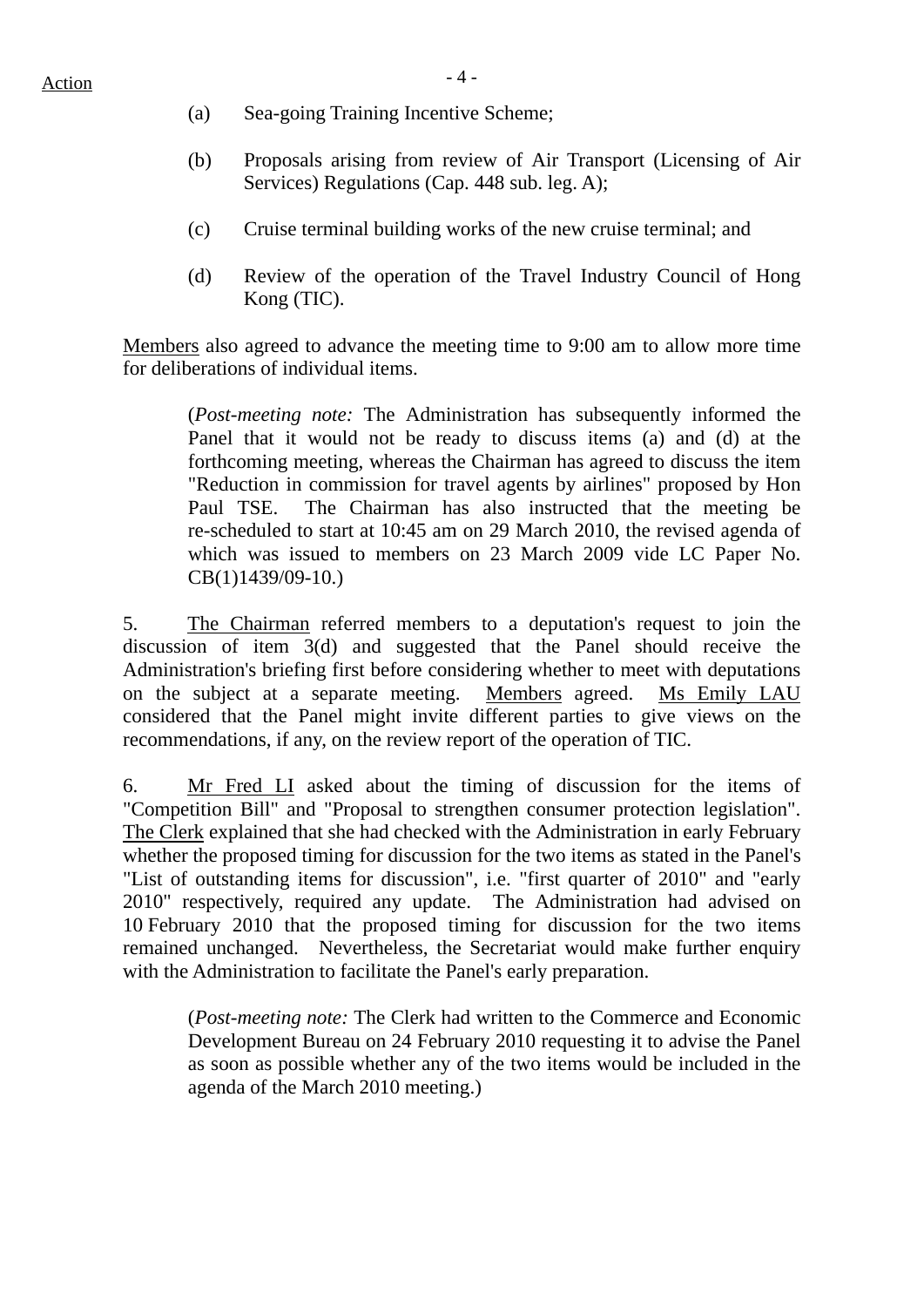- (a) Sea-going Training Incentive Scheme;
- (b) Proposals arising from review of Air Transport (Licensing of Air Services) Regulations (Cap. 448 sub. leg. A);
- (c) Cruise terminal building works of the new cruise terminal; and
- (d) Review of the operation of the Travel Industry Council of Hong Kong (TIC).

Members also agreed to advance the meeting time to 9:00 am to allow more time for deliberations of individual items.

(*Post-meeting note:* The Administration has subsequently informed the Panel that it would not be ready to discuss items (a) and (d) at the forthcoming meeting, whereas the Chairman has agreed to discuss the item "Reduction in commission for travel agents by airlines" proposed by Hon Paul TSE. The Chairman has also instructed that the meeting be re-scheduled to start at 10:45 am on 29 March 2010, the revised agenda of which was issued to members on 23 March 2009 vide LC Paper No. CB(1)1439/09-10.)

5. The Chairman referred members to a deputation's request to join the discussion of item 3(d) and suggested that the Panel should receive the Administration's briefing first before considering whether to meet with deputations on the subject at a separate meeting. Members agreed. Ms Emily LAU considered that the Panel might invite different parties to give views on the recommendations, if any, on the review report of the operation of TIC.

6. Mr Fred LI asked about the timing of discussion for the items of "Competition Bill" and "Proposal to strengthen consumer protection legislation". The Clerk explained that she had checked with the Administration in early February whether the proposed timing for discussion for the two items as stated in the Panel's "List of outstanding items for discussion", i.e. "first quarter of 2010" and "early 2010" respectively, required any update. The Administration had advised on 10 February 2010 that the proposed timing for discussion for the two items remained unchanged. Nevertheless, the Secretariat would make further enquiry with the Administration to facilitate the Panel's early preparation.

(*Post-meeting note:* The Clerk had written to the Commerce and Economic Development Bureau on 24 February 2010 requesting it to advise the Panel as soon as possible whether any of the two items would be included in the agenda of the March 2010 meeting.)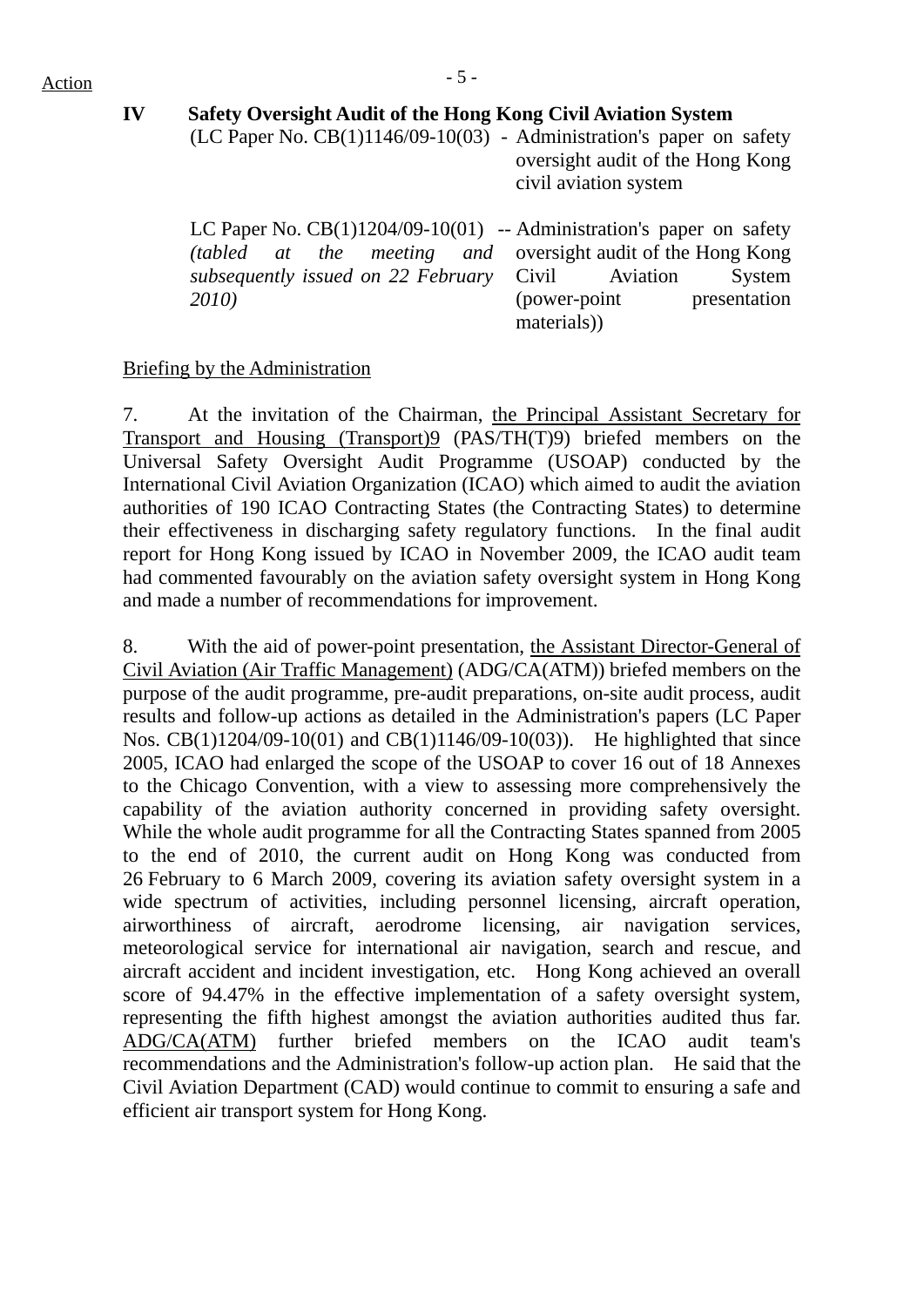**IV Safety Oversight Audit of the Hong Kong Civil Aviation System** 

(LC Paper No.  $CB(1)1146/09-10(03)$  - Administration's paper on safety oversight audit of the Hong Kong civil aviation system

LC Paper No. CB(1)1204/09-10(01) -- Administration's paper on safety *(tabled at the meeting and subsequently issued on 22 February 2010)*  oversight audit of the Hong Kong Civil Aviation System (power-point presentation materials))

### Briefing by the Administration

7. At the invitation of the Chairman, the Principal Assistant Secretary for Transport and Housing (Transport)9 (PAS/TH(T)9) briefed members on the Universal Safety Oversight Audit Programme (USOAP) conducted by the International Civil Aviation Organization (ICAO) which aimed to audit the aviation authorities of 190 ICAO Contracting States (the Contracting States) to determine their effectiveness in discharging safety regulatory functions. In the final audit report for Hong Kong issued by ICAO in November 2009, the ICAO audit team had commented favourably on the aviation safety oversight system in Hong Kong and made a number of recommendations for improvement.

8. With the aid of power-point presentation, the Assistant Director-General of Civil Aviation (Air Traffic Management) (ADG/CA(ATM)) briefed members on the purpose of the audit programme, pre-audit preparations, on-site audit process, audit results and follow-up actions as detailed in the Administration's papers (LC Paper Nos. CB(1)1204/09-10(01) and CB(1)1146/09-10(03)). He highlighted that since 2005, ICAO had enlarged the scope of the USOAP to cover 16 out of 18 Annexes to the Chicago Convention, with a view to assessing more comprehensively the capability of the aviation authority concerned in providing safety oversight. While the whole audit programme for all the Contracting States spanned from 2005 to the end of 2010, the current audit on Hong Kong was conducted from 26 February to 6 March 2009, covering its aviation safety oversight system in a wide spectrum of activities, including personnel licensing, aircraft operation, airworthiness of aircraft, aerodrome licensing, air navigation services, meteorological service for international air navigation, search and rescue, and aircraft accident and incident investigation, etc. Hong Kong achieved an overall score of 94.47% in the effective implementation of a safety oversight system, representing the fifth highest amongst the aviation authorities audited thus far. ADG/CA(ATM) further briefed members on the ICAO audit team's recommendations and the Administration's follow-up action plan. He said that the Civil Aviation Department (CAD) would continue to commit to ensuring a safe and efficient air transport system for Hong Kong.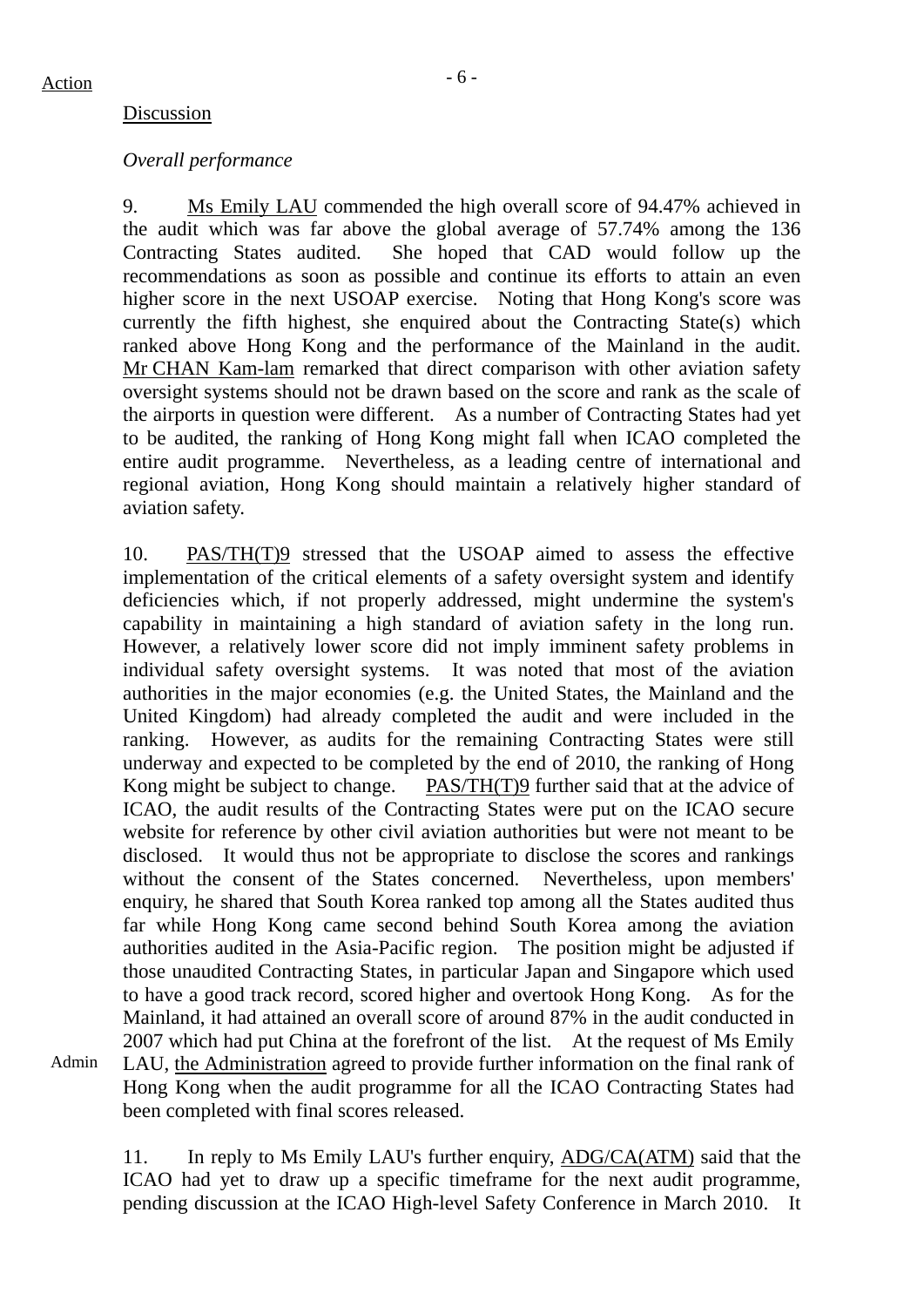Admin

#### Discussion

#### *Overall performance*

9. Ms Emily LAU commended the high overall score of 94.47% achieved in the audit which was far above the global average of 57.74% among the 136 Contracting States audited. She hoped that CAD would follow up the recommendations as soon as possible and continue its efforts to attain an even higher score in the next USOAP exercise. Noting that Hong Kong's score was currently the fifth highest, she enquired about the Contracting State(s) which ranked above Hong Kong and the performance of the Mainland in the audit. Mr CHAN Kam-lam remarked that direct comparison with other aviation safety oversight systems should not be drawn based on the score and rank as the scale of the airports in question were different. As a number of Contracting States had yet to be audited, the ranking of Hong Kong might fall when ICAO completed the entire audit programme. Nevertheless, as a leading centre of international and regional aviation, Hong Kong should maintain a relatively higher standard of aviation safety.

10. PAS/TH(T)9 stressed that the USOAP aimed to assess the effective implementation of the critical elements of a safety oversight system and identify deficiencies which, if not properly addressed, might undermine the system's capability in maintaining a high standard of aviation safety in the long run. However, a relatively lower score did not imply imminent safety problems in individual safety oversight systems. It was noted that most of the aviation authorities in the major economies (e.g. the United States, the Mainland and the United Kingdom) had already completed the audit and were included in the ranking. However, as audits for the remaining Contracting States were still underway and expected to be completed by the end of 2010, the ranking of Hong Kong might be subject to change. PAS/TH(T)9 further said that at the advice of ICAO, the audit results of the Contracting States were put on the ICAO secure website for reference by other civil aviation authorities but were not meant to be disclosed. It would thus not be appropriate to disclose the scores and rankings without the consent of the States concerned. Nevertheless, upon members' enquiry, he shared that South Korea ranked top among all the States audited thus far while Hong Kong came second behind South Korea among the aviation authorities audited in the Asia-Pacific region. The position might be adjusted if those unaudited Contracting States, in particular Japan and Singapore which used to have a good track record, scored higher and overtook Hong Kong. As for the Mainland, it had attained an overall score of around 87% in the audit conducted in 2007 which had put China at the forefront of the list. At the request of Ms Emily LAU, the Administration agreed to provide further information on the final rank of Hong Kong when the audit programme for all the ICAO Contracting States had been completed with final scores released.

11. In reply to Ms Emily LAU's further enquiry, ADG/CA(ATM) said that the ICAO had yet to draw up a specific timeframe for the next audit programme, pending discussion at the ICAO High-level Safety Conference in March 2010. It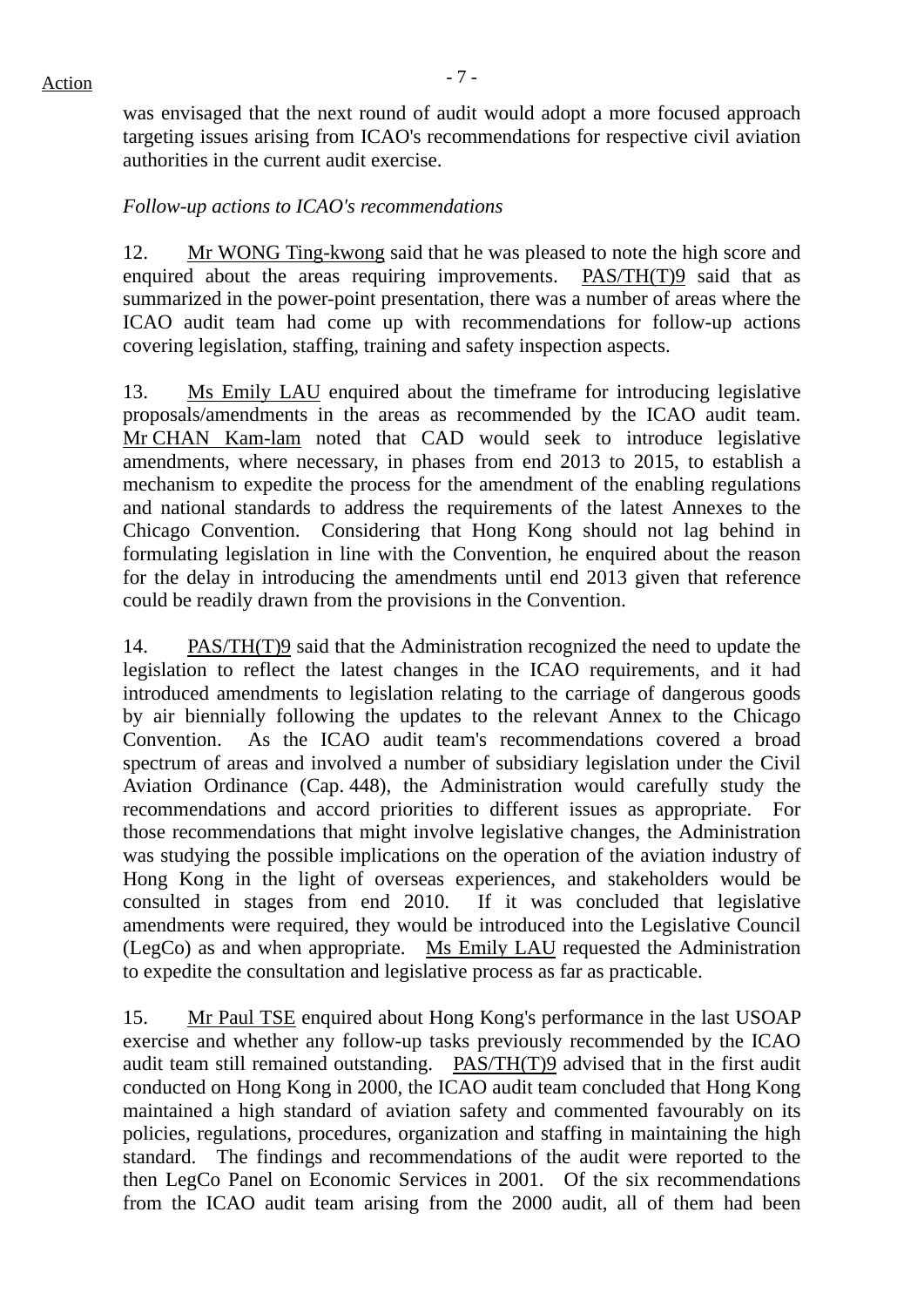$Action$ 

was envisaged that the next round of audit would adopt a more focused approach targeting issues arising from ICAO's recommendations for respective civil aviation authorities in the current audit exercise.

# *Follow-up actions to ICAO's recommendations*

12. Mr WONG Ting-kwong said that he was pleased to note the high score and enquired about the areas requiring improvements. PAS/TH(T)9 said that as summarized in the power-point presentation, there was a number of areas where the ICAO audit team had come up with recommendations for follow-up actions covering legislation, staffing, training and safety inspection aspects.

13. Ms Emily LAU enquired about the timeframe for introducing legislative proposals/amendments in the areas as recommended by the ICAO audit team. Mr CHAN Kam-lam noted that CAD would seek to introduce legislative amendments, where necessary, in phases from end 2013 to 2015, to establish a mechanism to expedite the process for the amendment of the enabling regulations and national standards to address the requirements of the latest Annexes to the Chicago Convention. Considering that Hong Kong should not lag behind in formulating legislation in line with the Convention, he enquired about the reason for the delay in introducing the amendments until end 2013 given that reference could be readily drawn from the provisions in the Convention.

14. PAS/TH(T)9 said that the Administration recognized the need to update the legislation to reflect the latest changes in the ICAO requirements, and it had introduced amendments to legislation relating to the carriage of dangerous goods by air biennially following the updates to the relevant Annex to the Chicago Convention. As the ICAO audit team's recommendations covered a broad spectrum of areas and involved a number of subsidiary legislation under the Civil Aviation Ordinance (Cap. 448), the Administration would carefully study the recommendations and accord priorities to different issues as appropriate. For those recommendations that might involve legislative changes, the Administration was studying the possible implications on the operation of the aviation industry of Hong Kong in the light of overseas experiences, and stakeholders would be consulted in stages from end 2010. If it was concluded that legislative amendments were required, they would be introduced into the Legislative Council (LegCo) as and when appropriate. Ms Emily LAU requested the Administration to expedite the consultation and legislative process as far as practicable.

15. Mr Paul TSE enquired about Hong Kong's performance in the last USOAP exercise and whether any follow-up tasks previously recommended by the ICAO audit team still remained outstanding. PAS/TH(T)9 advised that in the first audit conducted on Hong Kong in 2000, the ICAO audit team concluded that Hong Kong maintained a high standard of aviation safety and commented favourably on its policies, regulations, procedures, organization and staffing in maintaining the high standard. The findings and recommendations of the audit were reported to the then LegCo Panel on Economic Services in 2001. Of the six recommendations from the ICAO audit team arising from the 2000 audit, all of them had been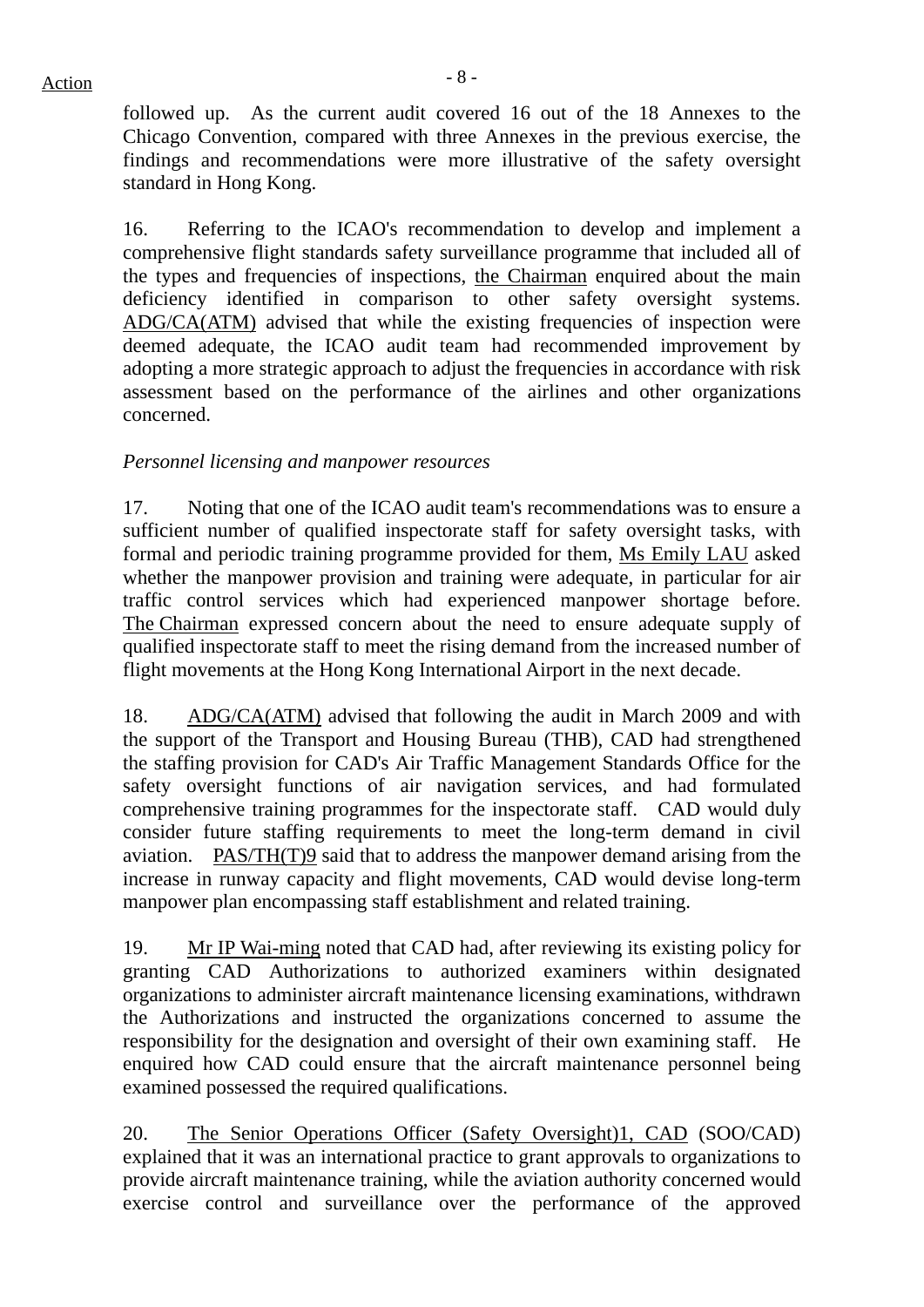$Action$ 

followed up. As the current audit covered 16 out of the 18 Annexes to the Chicago Convention, compared with three Annexes in the previous exercise, the findings and recommendations were more illustrative of the safety oversight standard in Hong Kong.

16. Referring to the ICAO's recommendation to develop and implement a comprehensive flight standards safety surveillance programme that included all of the types and frequencies of inspections, the Chairman enquired about the main deficiency identified in comparison to other safety oversight systems. ADG/CA(ATM) advised that while the existing frequencies of inspection were deemed adequate, the ICAO audit team had recommended improvement by adopting a more strategic approach to adjust the frequencies in accordance with risk assessment based on the performance of the airlines and other organizations concerned.

# *Personnel licensing and manpower resources*

17. Noting that one of the ICAO audit team's recommendations was to ensure a sufficient number of qualified inspectorate staff for safety oversight tasks, with formal and periodic training programme provided for them, Ms Emily LAU asked whether the manpower provision and training were adequate, in particular for air traffic control services which had experienced manpower shortage before. The Chairman expressed concern about the need to ensure adequate supply of qualified inspectorate staff to meet the rising demand from the increased number of flight movements at the Hong Kong International Airport in the next decade.

18. ADG/CA(ATM) advised that following the audit in March 2009 and with the support of the Transport and Housing Bureau (THB), CAD had strengthened the staffing provision for CAD's Air Traffic Management Standards Office for the safety oversight functions of air navigation services, and had formulated comprehensive training programmes for the inspectorate staff. CAD would duly consider future staffing requirements to meet the long-term demand in civil aviation. PAS/TH(T)9 said that to address the manpower demand arising from the increase in runway capacity and flight movements, CAD would devise long-term manpower plan encompassing staff establishment and related training.

19. Mr IP Wai-ming noted that CAD had, after reviewing its existing policy for granting CAD Authorizations to authorized examiners within designated organizations to administer aircraft maintenance licensing examinations, withdrawn the Authorizations and instructed the organizations concerned to assume the responsibility for the designation and oversight of their own examining staff. He enquired how CAD could ensure that the aircraft maintenance personnel being examined possessed the required qualifications.

20. The Senior Operations Officer (Safety Oversight)1, CAD (SOO/CAD) explained that it was an international practice to grant approvals to organizations to provide aircraft maintenance training, while the aviation authority concerned would exercise control and surveillance over the performance of the approved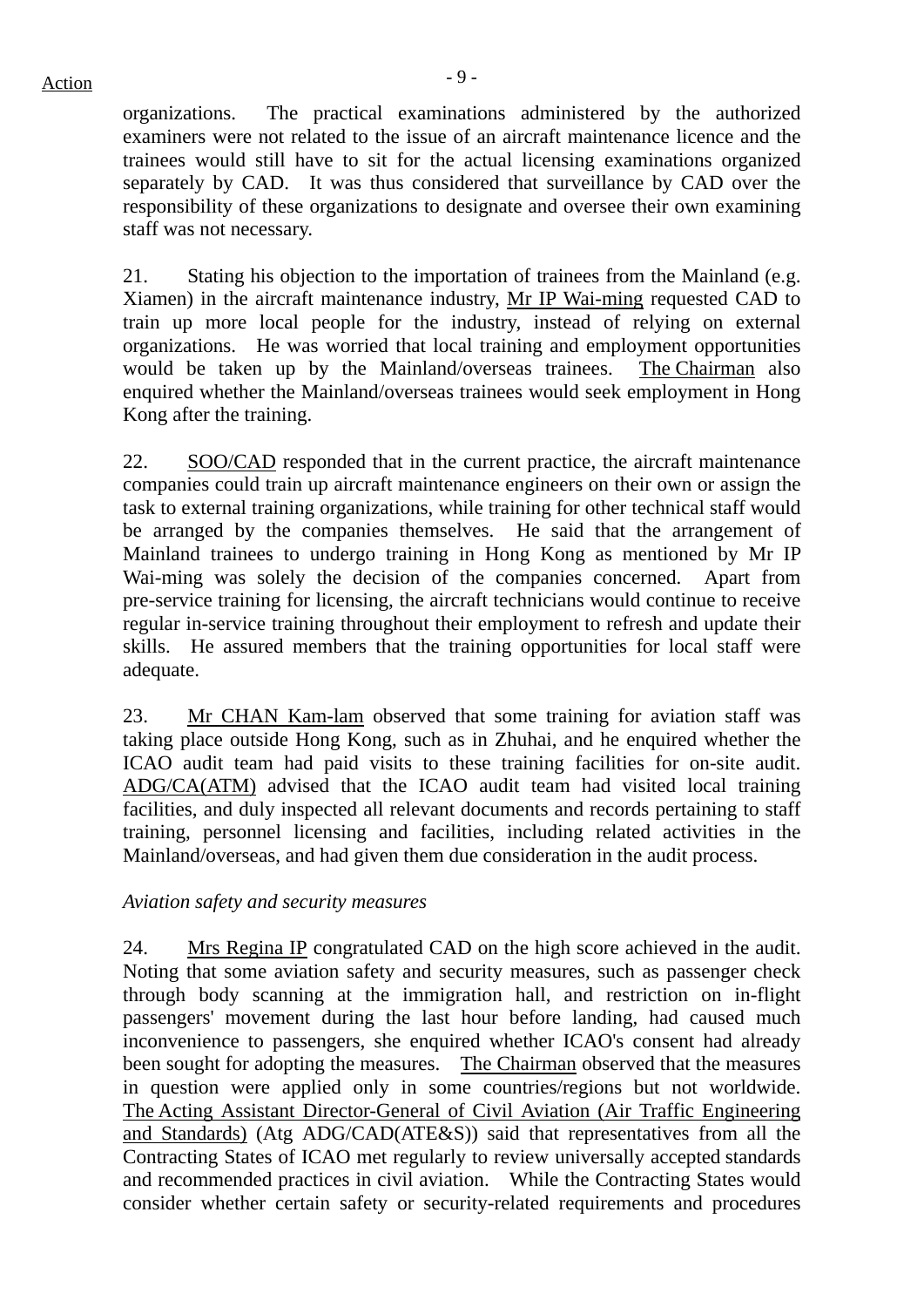$Action$ 

organizations. The practical examinations administered by the authorized examiners were not related to the issue of an aircraft maintenance licence and the trainees would still have to sit for the actual licensing examinations organized separately by CAD. It was thus considered that surveillance by CAD over the responsibility of these organizations to designate and oversee their own examining staff was not necessary.

21. Stating his objection to the importation of trainees from the Mainland (e.g. Xiamen) in the aircraft maintenance industry, Mr IP Wai-ming requested CAD to train up more local people for the industry, instead of relying on external organizations. He was worried that local training and employment opportunities would be taken up by the Mainland/overseas trainees. The Chairman also enquired whether the Mainland/overseas trainees would seek employment in Hong Kong after the training.

22. SOO/CAD responded that in the current practice, the aircraft maintenance companies could train up aircraft maintenance engineers on their own or assign the task to external training organizations, while training for other technical staff would be arranged by the companies themselves. He said that the arrangement of Mainland trainees to undergo training in Hong Kong as mentioned by Mr IP Wai-ming was solely the decision of the companies concerned. Apart from pre-service training for licensing, the aircraft technicians would continue to receive regular in-service training throughout their employment to refresh and update their skills. He assured members that the training opportunities for local staff were adequate.

23. Mr CHAN Kam-lam observed that some training for aviation staff was taking place outside Hong Kong, such as in Zhuhai, and he enquired whether the ICAO audit team had paid visits to these training facilities for on-site audit. ADG/CA(ATM) advised that the ICAO audit team had visited local training facilities, and duly inspected all relevant documents and records pertaining to staff training, personnel licensing and facilities, including related activities in the Mainland/overseas, and had given them due consideration in the audit process.

*Aviation safety and security measures* 

24. Mrs Regina IP congratulated CAD on the high score achieved in the audit. Noting that some aviation safety and security measures, such as passenger check through body scanning at the immigration hall, and restriction on in-flight passengers' movement during the last hour before landing, had caused much inconvenience to passengers, she enquired whether ICAO's consent had already been sought for adopting the measures. The Chairman observed that the measures in question were applied only in some countries/regions but not worldwide. The Acting Assistant Director-General of Civil Aviation (Air Traffic Engineering and Standards) (Atg ADG/CAD(ATE&S)) said that representatives from all the Contracting States of ICAO met regularly to review universally accepted standards and recommended practices in civil aviation. While the Contracting States would consider whether certain safety or security-related requirements and procedures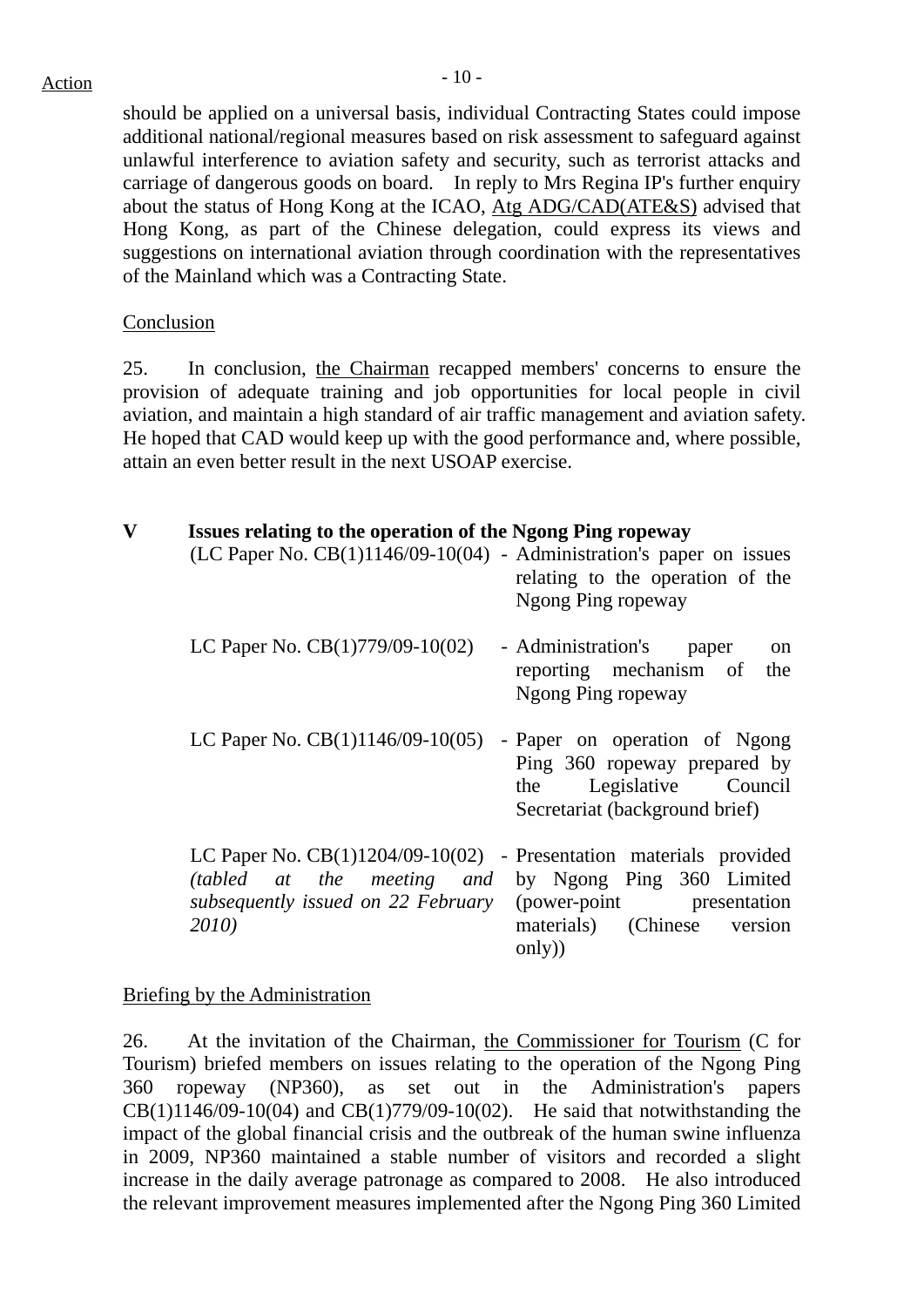should be applied on a universal basis, individual Contracting States could impose additional national/regional measures based on risk assessment to safeguard against unlawful interference to aviation safety and security, such as terrorist attacks and carriage of dangerous goods on board. In reply to Mrs Regina IP's further enquiry about the status of Hong Kong at the ICAO, Atg ADG/CAD(ATE&S) advised that Hong Kong, as part of the Chinese delegation, could express its views and suggestions on international aviation through coordination with the representatives of the Mainland which was a Contracting State.

#### Conclusion

25. In conclusion, the Chairman recapped members' concerns to ensure the provision of adequate training and job opportunities for local people in civil aviation, and maintain a high standard of air traffic management and aviation safety. He hoped that CAD would keep up with the good performance and, where possible, attain an even better result in the next USOAP exercise.

| $\mathbf{V}$ | Issues relating to the operation of the Ngong Ping ropeway<br>$(LC$ Paper No. $CB(1)1146/09-10(04)$ - Administration's paper on issues            | relating to the operation of the<br>Ngong Ping ropeway                                                                        |
|--------------|---------------------------------------------------------------------------------------------------------------------------------------------------|-------------------------------------------------------------------------------------------------------------------------------|
|              | LC Paper No. $CB(1)779/09-10(02)$                                                                                                                 | - Administration's<br>paper<br>on<br>reporting mechanism of<br>the<br>Ngong Ping ropeway                                      |
|              | LC Paper No. $CB(1)1146/09-10(05)$                                                                                                                | - Paper on operation of Ngong<br>Ping 360 ropeway prepared by<br>Legislative Council<br>the<br>Secretariat (background brief) |
|              | LC Paper No. $CB(1)1204/09-10(02)$ - Presentation materials provided<br>(tabled at the meeting and<br>subsequently issued on 22 February<br>2010) | by Ngong Ping 360 Limited<br>(power-point presentation<br>materials) (Chinese<br>version<br>only)                             |

#### Briefing by the Administration

26. At the invitation of the Chairman, the Commissioner for Tourism (C for Tourism) briefed members on issues relating to the operation of the Ngong Ping 360 ropeway (NP360), as set out in the Administration's papers  $CB(1)1146/09-10(04)$  and  $CB(1)779/09-10(02)$ . He said that notwithstanding the impact of the global financial crisis and the outbreak of the human swine influenza in 2009, NP360 maintained a stable number of visitors and recorded a slight increase in the daily average patronage as compared to 2008. He also introduced the relevant improvement measures implemented after the Ngong Ping 360 Limited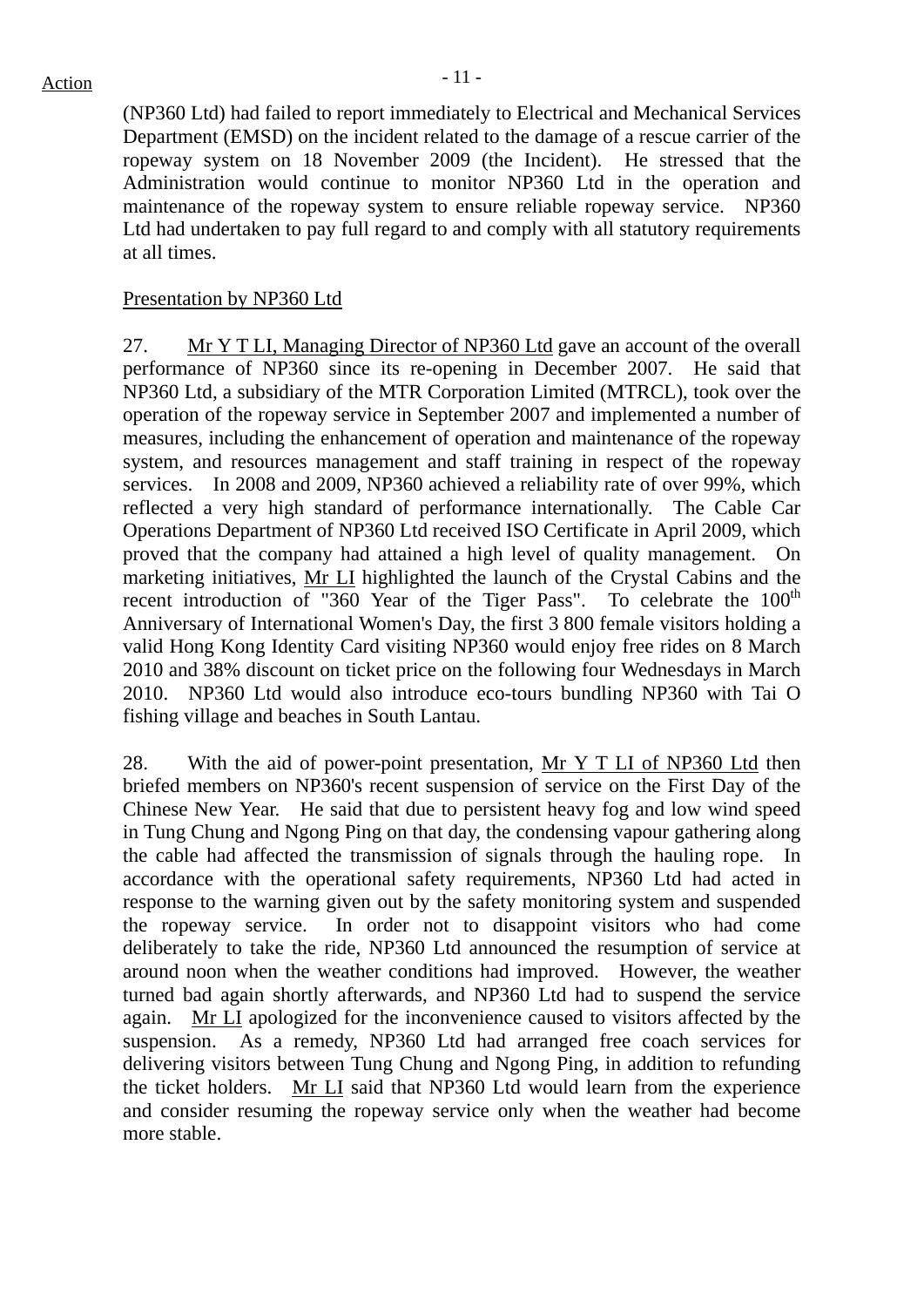(NP360 Ltd) had failed to report immediately to Electrical and Mechanical Services Department (EMSD) on the incident related to the damage of a rescue carrier of the ropeway system on 18 November 2009 (the Incident). He stressed that the Administration would continue to monitor NP360 Ltd in the operation and maintenance of the ropeway system to ensure reliable ropeway service. NP360 Ltd had undertaken to pay full regard to and comply with all statutory requirements at all times.

#### Presentation by NP360 Ltd

27. Mr Y T LI, Managing Director of NP360 Ltd gave an account of the overall performance of NP360 since its re-opening in December 2007. He said that NP360 Ltd, a subsidiary of the MTR Corporation Limited (MTRCL), took over the operation of the ropeway service in September 2007 and implemented a number of measures, including the enhancement of operation and maintenance of the ropeway system, and resources management and staff training in respect of the ropeway services. In 2008 and 2009, NP360 achieved a reliability rate of over 99%, which reflected a very high standard of performance internationally. The Cable Car Operations Department of NP360 Ltd received ISO Certificate in April 2009, which proved that the company had attained a high level of quality management. On marketing initiatives, Mr LI highlighted the launch of the Crystal Cabins and the recent introduction of "360 Year of the Tiger Pass". To celebrate the  $100<sup>th</sup>$ Anniversary of International Women's Day, the first 3 800 female visitors holding a valid Hong Kong Identity Card visiting NP360 would enjoy free rides on 8 March 2010 and 38% discount on ticket price on the following four Wednesdays in March 2010. NP360 Ltd would also introduce eco-tours bundling NP360 with Tai O fishing village and beaches in South Lantau.

28. With the aid of power-point presentation, Mr Y T LI of NP360 Ltd then briefed members on NP360's recent suspension of service on the First Day of the Chinese New Year. He said that due to persistent heavy fog and low wind speed in Tung Chung and Ngong Ping on that day, the condensing vapour gathering along the cable had affected the transmission of signals through the hauling rope. In accordance with the operational safety requirements, NP360 Ltd had acted in response to the warning given out by the safety monitoring system and suspended the ropeway service. In order not to disappoint visitors who had come deliberately to take the ride, NP360 Ltd announced the resumption of service at around noon when the weather conditions had improved. However, the weather turned bad again shortly afterwards, and NP360 Ltd had to suspend the service again. Mr LI apologized for the inconvenience caused to visitors affected by the suspension. As a remedy, NP360 Ltd had arranged free coach services for delivering visitors between Tung Chung and Ngong Ping, in addition to refunding the ticket holders. Mr LI said that NP360 Ltd would learn from the experience and consider resuming the ropeway service only when the weather had become more stable.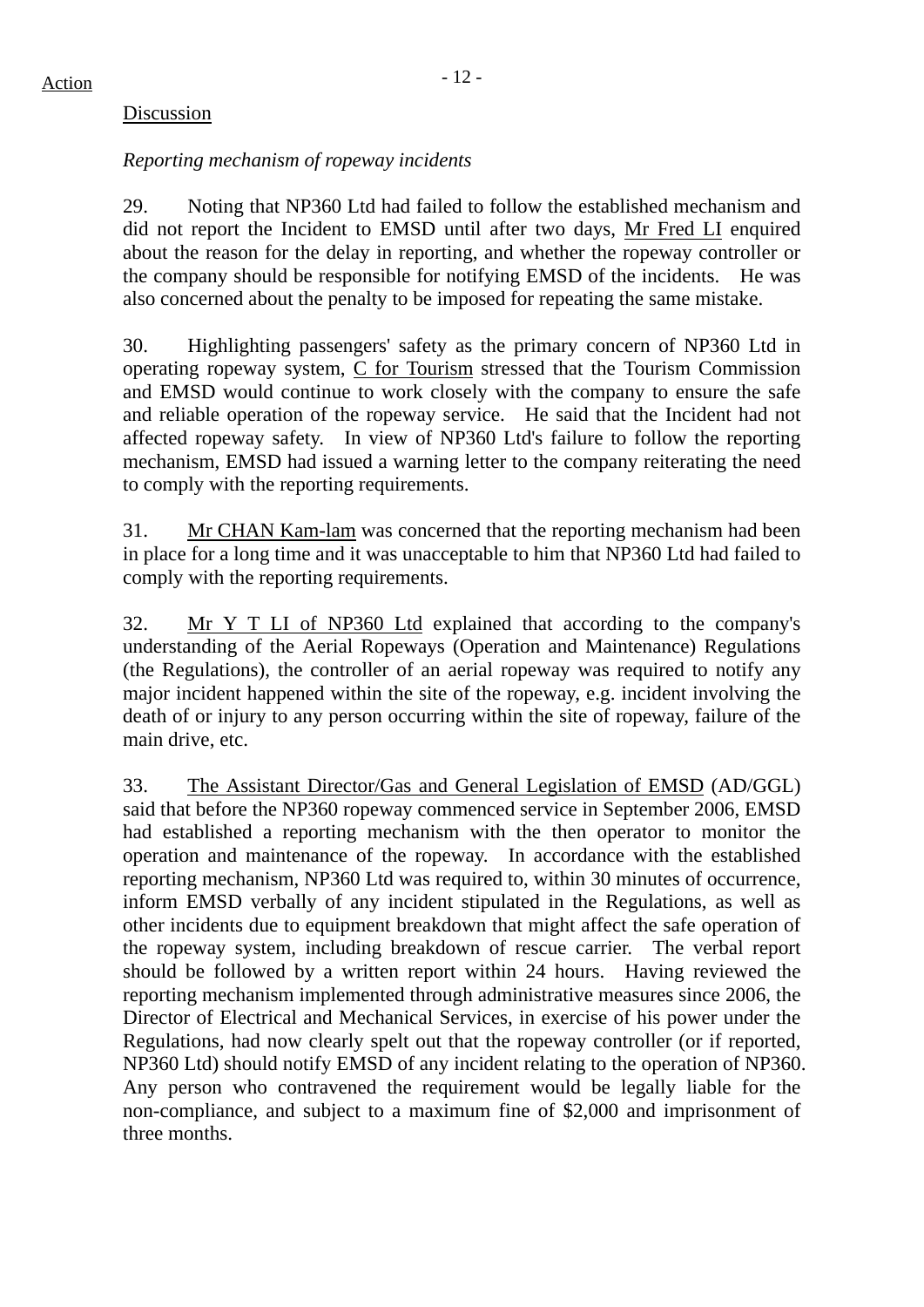# Discussion

# *Reporting mechanism of ropeway incidents*

29. Noting that NP360 Ltd had failed to follow the established mechanism and did not report the Incident to EMSD until after two days, Mr Fred LI enquired about the reason for the delay in reporting, and whether the ropeway controller or the company should be responsible for notifying EMSD of the incidents. He was also concerned about the penalty to be imposed for repeating the same mistake.

30. Highlighting passengers' safety as the primary concern of NP360 Ltd in operating ropeway system, C for Tourism stressed that the Tourism Commission and EMSD would continue to work closely with the company to ensure the safe and reliable operation of the ropeway service. He said that the Incident had not affected ropeway safety. In view of NP360 Ltd's failure to follow the reporting mechanism, EMSD had issued a warning letter to the company reiterating the need to comply with the reporting requirements.

31. Mr CHAN Kam-lam was concerned that the reporting mechanism had been in place for a long time and it was unacceptable to him that NP360 Ltd had failed to comply with the reporting requirements.

32. Mr Y T LI of NP360 Ltd explained that according to the company's understanding of the Aerial Ropeways (Operation and Maintenance) Regulations (the Regulations), the controller of an aerial ropeway was required to notify any major incident happened within the site of the ropeway, e.g. incident involving the death of or injury to any person occurring within the site of ropeway, failure of the main drive, etc.

33. The Assistant Director/Gas and General Legislation of EMSD (AD/GGL) said that before the NP360 ropeway commenced service in September 2006, EMSD had established a reporting mechanism with the then operator to monitor the operation and maintenance of the ropeway. In accordance with the established reporting mechanism, NP360 Ltd was required to, within 30 minutes of occurrence, inform EMSD verbally of any incident stipulated in the Regulations, as well as other incidents due to equipment breakdown that might affect the safe operation of the ropeway system, including breakdown of rescue carrier. The verbal report should be followed by a written report within 24 hours. Having reviewed the reporting mechanism implemented through administrative measures since 2006, the Director of Electrical and Mechanical Services, in exercise of his power under the Regulations, had now clearly spelt out that the ropeway controller (or if reported, NP360 Ltd) should notify EMSD of any incident relating to the operation of NP360. Any person who contravened the requirement would be legally liable for the non-compliance, and subject to a maximum fine of \$2,000 and imprisonment of three months.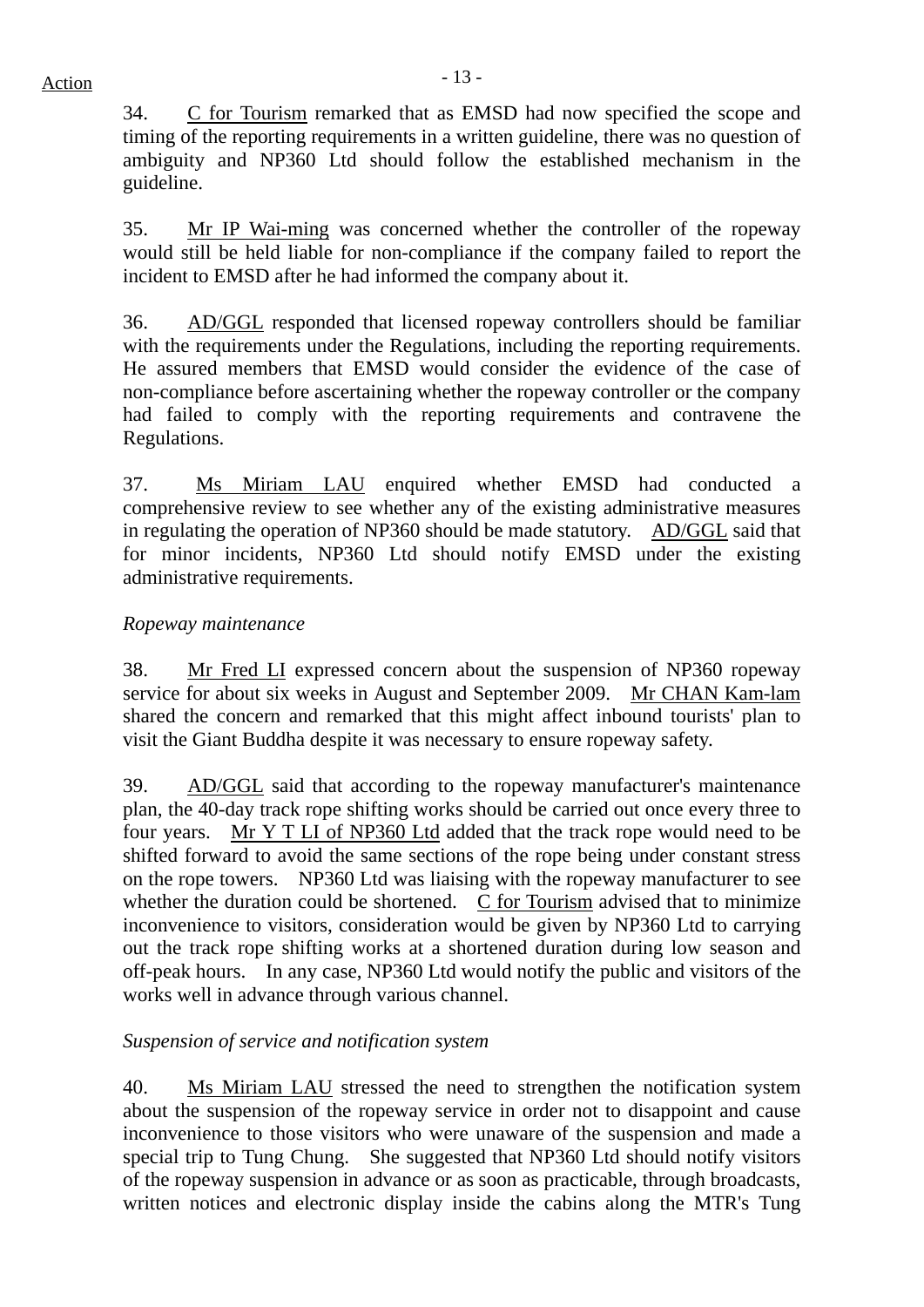34. C for Tourism remarked that as EMSD had now specified the scope and timing of the reporting requirements in a written guideline, there was no question of ambiguity and NP360 Ltd should follow the established mechanism in the guideline.

35. Mr IP Wai-ming was concerned whether the controller of the ropeway would still be held liable for non-compliance if the company failed to report the incident to EMSD after he had informed the company about it.

36. AD/GGL responded that licensed ropeway controllers should be familiar with the requirements under the Regulations, including the reporting requirements. He assured members that EMSD would consider the evidence of the case of non-compliance before ascertaining whether the ropeway controller or the company had failed to comply with the reporting requirements and contravene the Regulations.

37. Ms Miriam LAU enquired whether EMSD had conducted a comprehensive review to see whether any of the existing administrative measures in regulating the operation of NP360 should be made statutory. AD/GGL said that for minor incidents, NP360 Ltd should notify EMSD under the existing administrative requirements.

# *Ropeway maintenance*

38. Mr Fred LI expressed concern about the suspension of NP360 ropeway service for about six weeks in August and September 2009. Mr CHAN Kam-lam shared the concern and remarked that this might affect inbound tourists' plan to visit the Giant Buddha despite it was necessary to ensure ropeway safety.

39. AD/GGL said that according to the ropeway manufacturer's maintenance plan, the 40-day track rope shifting works should be carried out once every three to four years. Mr Y T LI of NP360 Ltd added that the track rope would need to be shifted forward to avoid the same sections of the rope being under constant stress on the rope towers. NP360 Ltd was liaising with the ropeway manufacturer to see whether the duration could be shortened. C for Tourism advised that to minimize inconvenience to visitors, consideration would be given by NP360 Ltd to carrying out the track rope shifting works at a shortened duration during low season and off-peak hours. In any case, NP360 Ltd would notify the public and visitors of the works well in advance through various channel.

# *Suspension of service and notification system*

40. Ms Miriam LAU stressed the need to strengthen the notification system about the suspension of the ropeway service in order not to disappoint and cause inconvenience to those visitors who were unaware of the suspension and made a special trip to Tung Chung. She suggested that NP360 Ltd should notify visitors of the ropeway suspension in advance or as soon as practicable, through broadcasts, written notices and electronic display inside the cabins along the MTR's Tung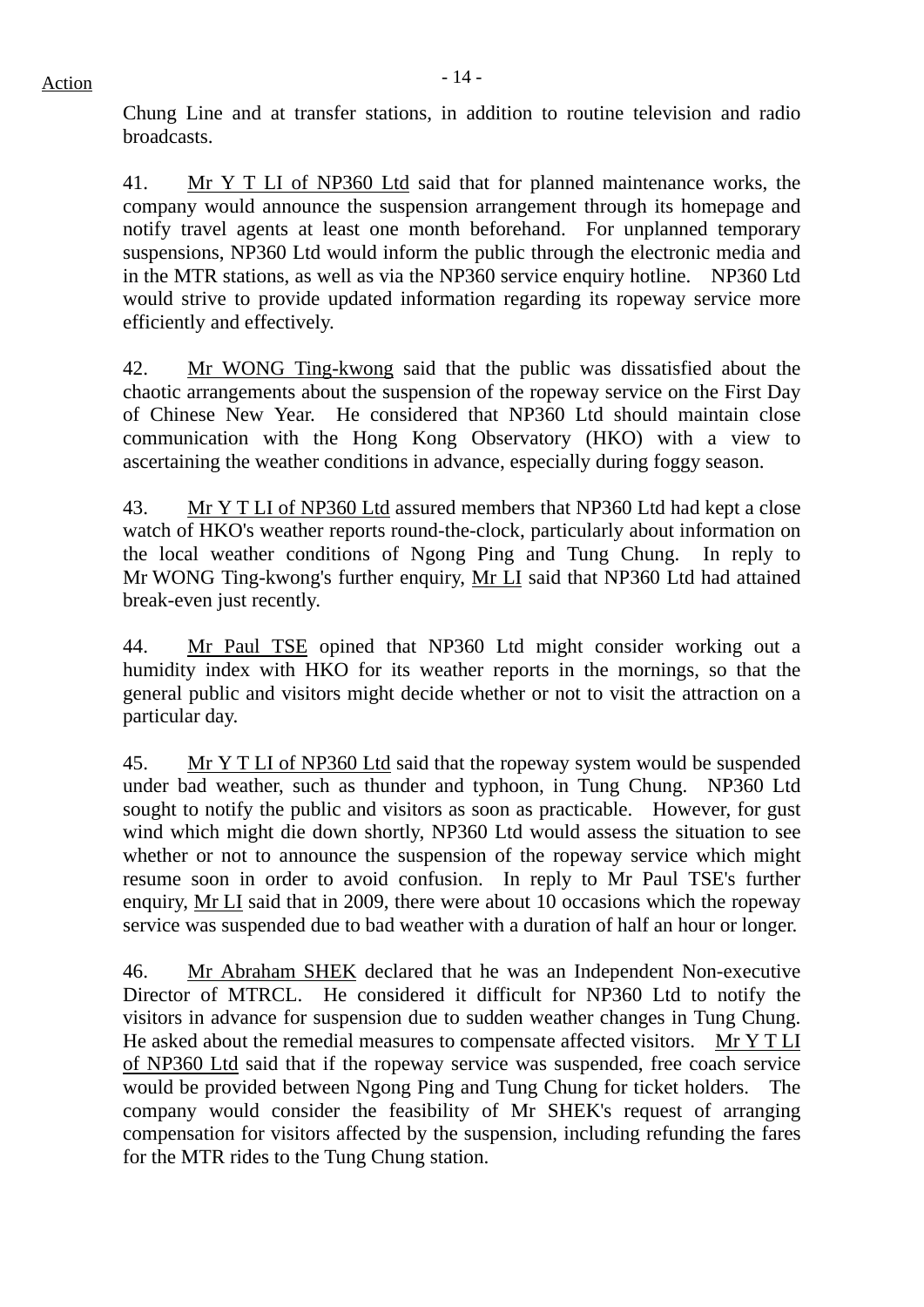Chung Line and at transfer stations, in addition to routine television and radio broadcasts.

41. Mr Y T LI of NP360 Ltd said that for planned maintenance works, the company would announce the suspension arrangement through its homepage and notify travel agents at least one month beforehand. For unplanned temporary suspensions, NP360 Ltd would inform the public through the electronic media and in the MTR stations, as well as via the NP360 service enquiry hotline. NP360 Ltd would strive to provide updated information regarding its ropeway service more efficiently and effectively.

42. Mr WONG Ting-kwong said that the public was dissatisfied about the chaotic arrangements about the suspension of the ropeway service on the First Day of Chinese New Year. He considered that NP360 Ltd should maintain close communication with the Hong Kong Observatory (HKO) with a view to ascertaining the weather conditions in advance, especially during foggy season.

43. Mr Y T LI of NP360 Ltd assured members that NP360 Ltd had kept a close watch of HKO's weather reports round-the-clock, particularly about information on the local weather conditions of Ngong Ping and Tung Chung. In reply to Mr WONG Ting-kwong's further enquiry, Mr LI said that NP360 Ltd had attained break-even just recently.

44. Mr Paul TSE opined that NP360 Ltd might consider working out a humidity index with HKO for its weather reports in the mornings, so that the general public and visitors might decide whether or not to visit the attraction on a particular day.

45. Mr Y T LI of NP360 Ltd said that the ropeway system would be suspended under bad weather, such as thunder and typhoon, in Tung Chung. NP360 Ltd sought to notify the public and visitors as soon as practicable. However, for gust wind which might die down shortly, NP360 Ltd would assess the situation to see whether or not to announce the suspension of the ropeway service which might resume soon in order to avoid confusion. In reply to Mr Paul TSE's further enquiry, Mr LI said that in 2009, there were about 10 occasions which the ropeway service was suspended due to bad weather with a duration of half an hour or longer.

46. Mr Abraham SHEK declared that he was an Independent Non-executive Director of MTRCL. He considered it difficult for NP360 Ltd to notify the visitors in advance for suspension due to sudden weather changes in Tung Chung. He asked about the remedial measures to compensate affected visitors. Mr Y T LI of NP360 Ltd said that if the ropeway service was suspended, free coach service would be provided between Ngong Ping and Tung Chung for ticket holders. The company would consider the feasibility of Mr SHEK's request of arranging compensation for visitors affected by the suspension, including refunding the fares for the MTR rides to the Tung Chung station.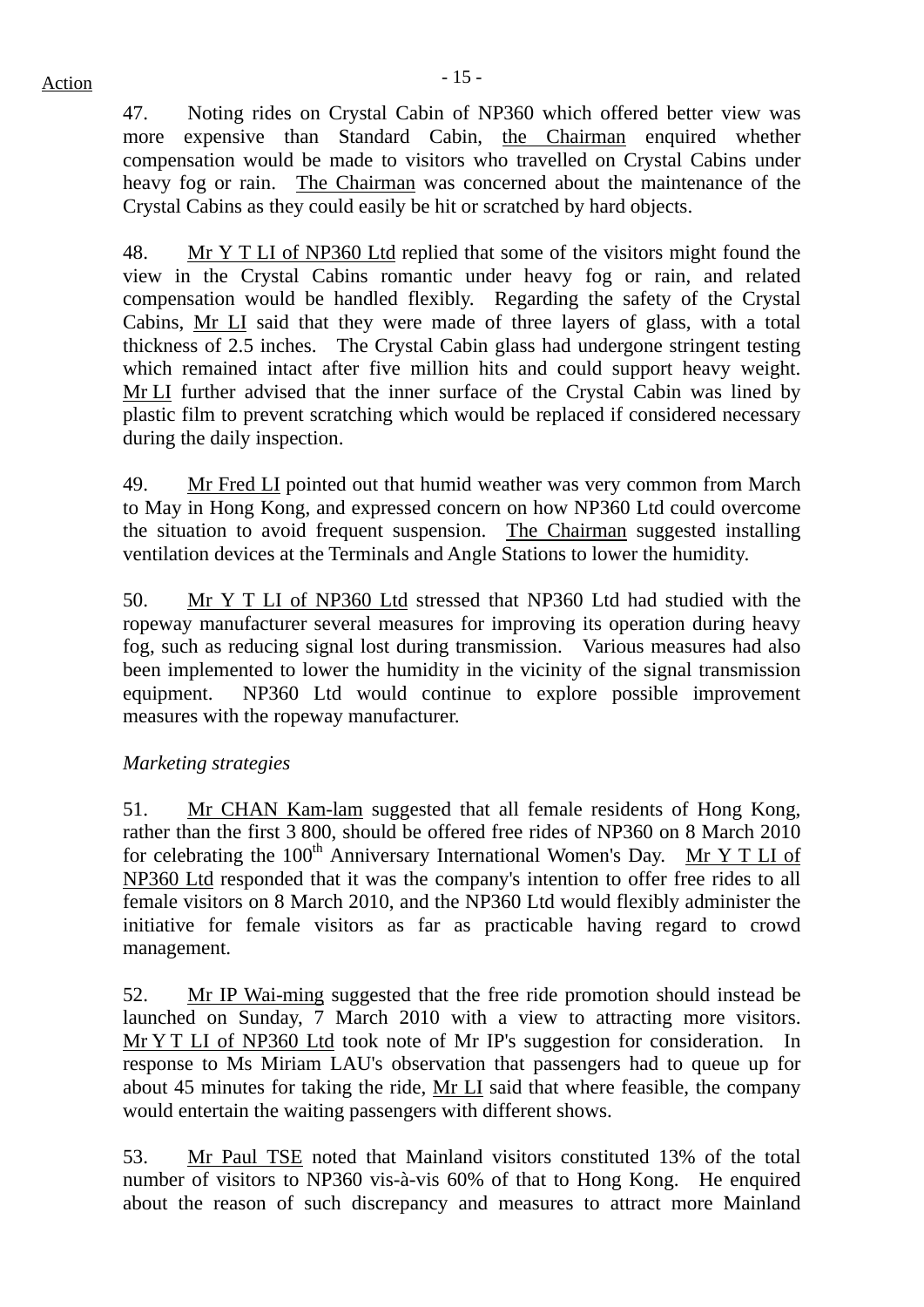47. Noting rides on Crystal Cabin of NP360 which offered better view was more expensive than Standard Cabin, the Chairman enquired whether compensation would be made to visitors who travelled on Crystal Cabins under heavy fog or rain. The Chairman was concerned about the maintenance of the Crystal Cabins as they could easily be hit or scratched by hard objects.

48. Mr Y T LI of NP360 Ltd replied that some of the visitors might found the view in the Crystal Cabins romantic under heavy fog or rain, and related compensation would be handled flexibly. Regarding the safety of the Crystal Cabins, Mr LI said that they were made of three layers of glass, with a total thickness of 2.5 inches. The Crystal Cabin glass had undergone stringent testing which remained intact after five million hits and could support heavy weight. Mr LI further advised that the inner surface of the Crystal Cabin was lined by plastic film to prevent scratching which would be replaced if considered necessary during the daily inspection.

49. Mr Fred LI pointed out that humid weather was very common from March to May in Hong Kong, and expressed concern on how NP360 Ltd could overcome the situation to avoid frequent suspension. The Chairman suggested installing ventilation devices at the Terminals and Angle Stations to lower the humidity.

50. Mr Y T LI of NP360 Ltd stressed that NP360 Ltd had studied with the ropeway manufacturer several measures for improving its operation during heavy fog, such as reducing signal lost during transmission. Various measures had also been implemented to lower the humidity in the vicinity of the signal transmission equipment. NP360 Ltd would continue to explore possible improvement measures with the ropeway manufacturer.

# *Marketing strategies*

51. Mr CHAN Kam-lam suggested that all female residents of Hong Kong, rather than the first 3 800, should be offered free rides of NP360 on 8 March 2010 for celebrating the  $100<sup>th</sup>$  Anniversary International Women's Day. Mr Y T LI of NP360 Ltd responded that it was the company's intention to offer free rides to all female visitors on 8 March 2010, and the NP360 Ltd would flexibly administer the initiative for female visitors as far as practicable having regard to crowd management.

52. Mr IP Wai-ming suggested that the free ride promotion should instead be launched on Sunday, 7 March 2010 with a view to attracting more visitors. Mr Y T LI of NP360 Ltd took note of Mr IP's suggestion for consideration. In response to Ms Miriam LAU's observation that passengers had to queue up for about 45 minutes for taking the ride, Mr LI said that where feasible, the company would entertain the waiting passengers with different shows.

53. Mr Paul TSE noted that Mainland visitors constituted 13% of the total number of visitors to NP360 vis-à-vis 60% of that to Hong Kong. He enquired about the reason of such discrepancy and measures to attract more Mainland